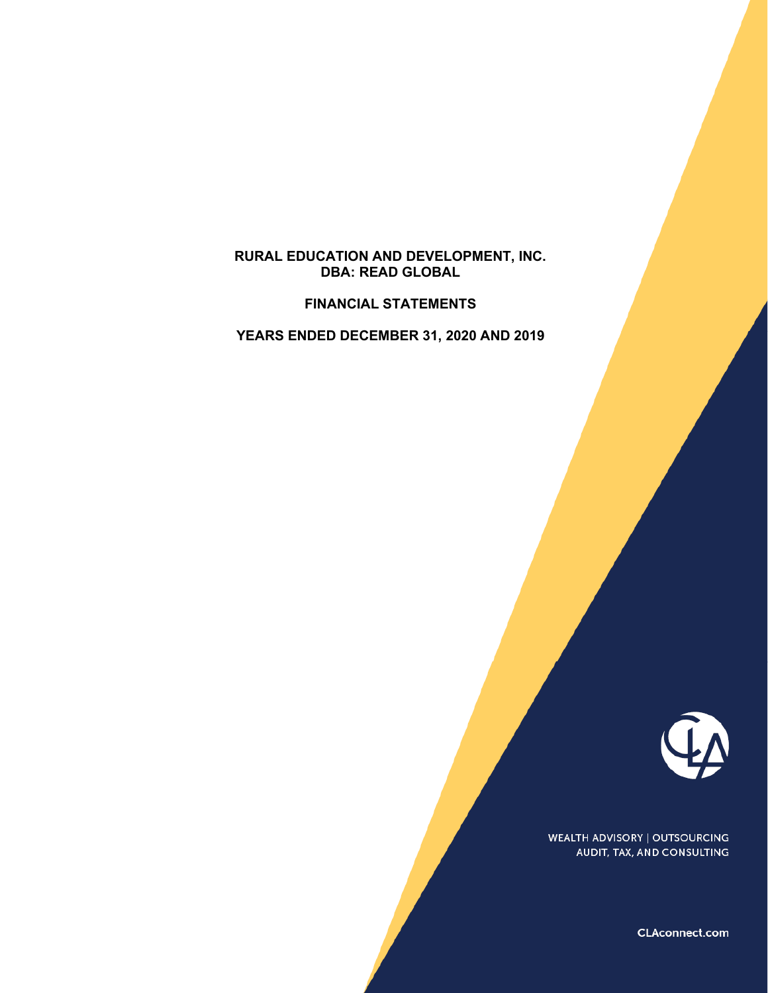#### **RURAL EDUCATION AND DEVELOPMENT, INC. DBA: READ GLOBAL**

**FINANCIAL STATEMENTS**

**YEARS ENDED DECEMBER 31, 2020 AND 2019**



**WEALTH ADVISORY | OUTSOURCING** AUDIT, TAX, AND CONSULTING

CLAconnect.com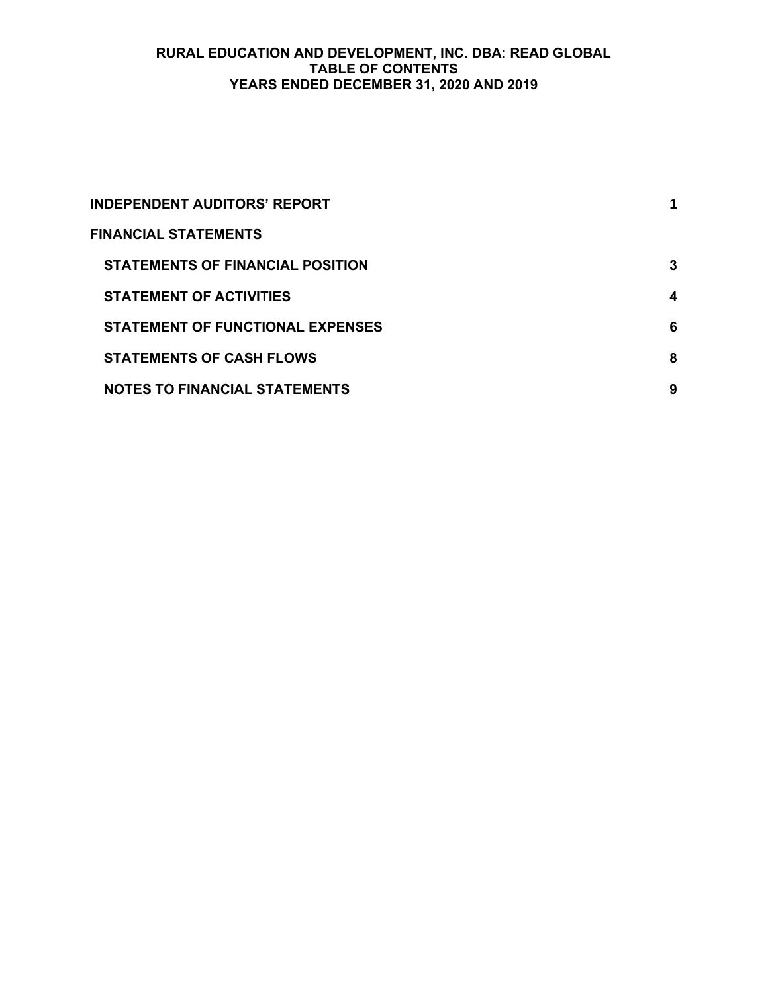# **RURAL EDUCATION AND DEVELOPMENT, INC. DBA: READ GLOBAL TABLE OF CONTENTS YEARS ENDED DECEMBER 31, 2020 AND 2019**

| <b>INDEPENDENT AUDITORS' REPORT</b>     |   |
|-----------------------------------------|---|
| <b>FINANCIAL STATEMENTS</b>             |   |
| <b>STATEMENTS OF FINANCIAL POSITION</b> | 3 |
| <b>STATEMENT OF ACTIVITIES</b>          | 4 |
| <b>STATEMENT OF FUNCTIONAL EXPENSES</b> | 6 |
| <b>STATEMENTS OF CASH FLOWS</b>         | 8 |
| <b>NOTES TO FINANCIAL STATEMENTS</b>    | 9 |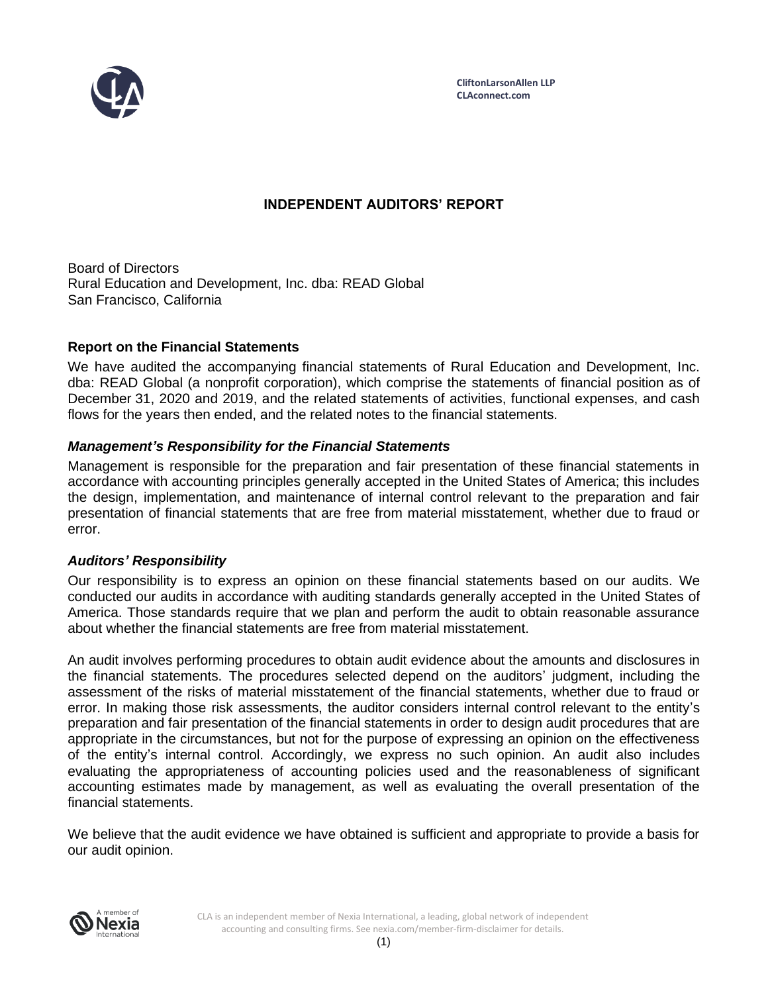

# **INDEPENDENT AUDITORS' REPORT**

Board of Directors Rural Education and Development, Inc. dba: READ Global San Francisco, California

## **Report on the Financial Statements**

We have audited the accompanying financial statements of Rural Education and Development, Inc. dba: READ Global (a nonprofit corporation), which comprise the statements of financial position as of December 31, 2020 and 2019, and the related statements of activities, functional expenses, and cash flows for the years then ended, and the related notes to the financial statements.

## *Management's Responsibility for the Financial Statements*

Management is responsible for the preparation and fair presentation of these financial statements in accordance with accounting principles generally accepted in the United States of America; this includes the design, implementation, and maintenance of internal control relevant to the preparation and fair presentation of financial statements that are free from material misstatement, whether due to fraud or error.

## *Auditors' Responsibility*

Our responsibility is to express an opinion on these financial statements based on our audits. We conducted our audits in accordance with auditing standards generally accepted in the United States of America. Those standards require that we plan and perform the audit to obtain reasonable assurance about whether the financial statements are free from material misstatement.

An audit involves performing procedures to obtain audit evidence about the amounts and disclosures in the financial statements. The procedures selected depend on the auditors' judgment, including the assessment of the risks of material misstatement of the financial statements, whether due to fraud or error. In making those risk assessments, the auditor considers internal control relevant to the entity's preparation and fair presentation of the financial statements in order to design audit procedures that are appropriate in the circumstances, but not for the purpose of expressing an opinion on the effectiveness of the entity's internal control. Accordingly, we express no such opinion. An audit also includes evaluating the appropriateness of accounting policies used and the reasonableness of significant accounting estimates made by management, as well as evaluating the overall presentation of the financial statements.

We believe that the audit evidence we have obtained is sufficient and appropriate to provide a basis for our audit opinion.



CLA is an independent member of Nexia International, a leading, global network of independent accounting and consulting firms. See nexia.com/member-firm-disclaimer for details.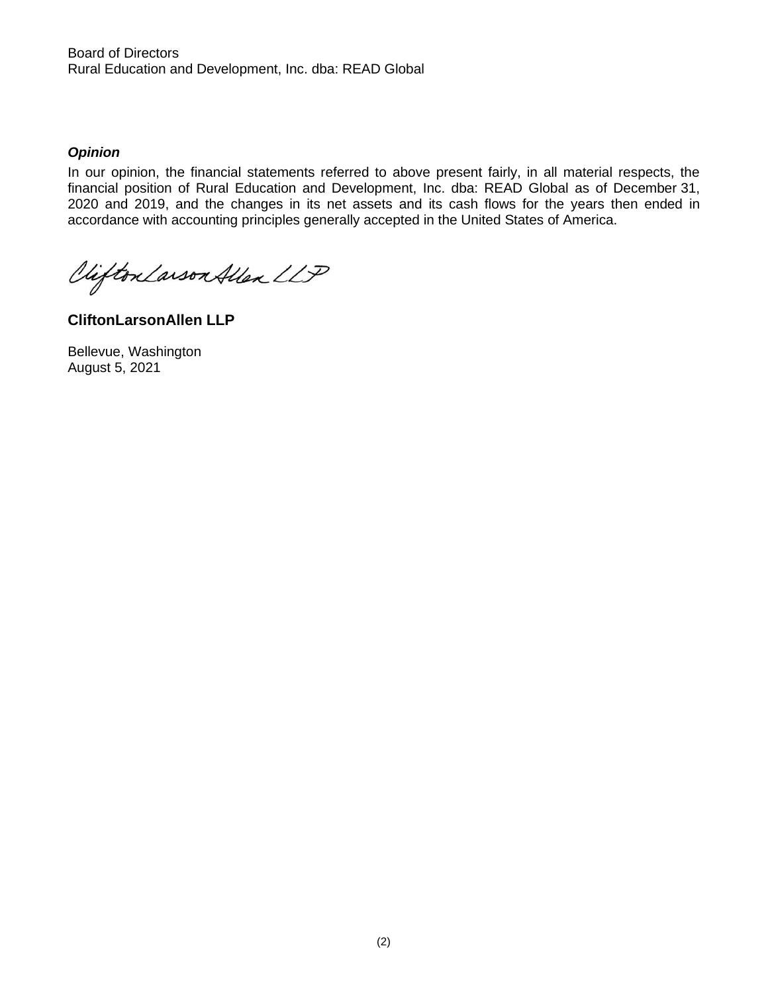# *Opinion*

In our opinion, the financial statements referred to above present fairly, in all material respects, the financial position of Rural Education and Development, Inc. dba: READ Global as of December 31, 2020 and 2019, and the changes in its net assets and its cash flows for the years then ended in accordance with accounting principles generally accepted in the United States of America.

Clifton Larson Allen LLP

**CliftonLarsonAllen LLP**

Bellevue, Washington August 5, 2021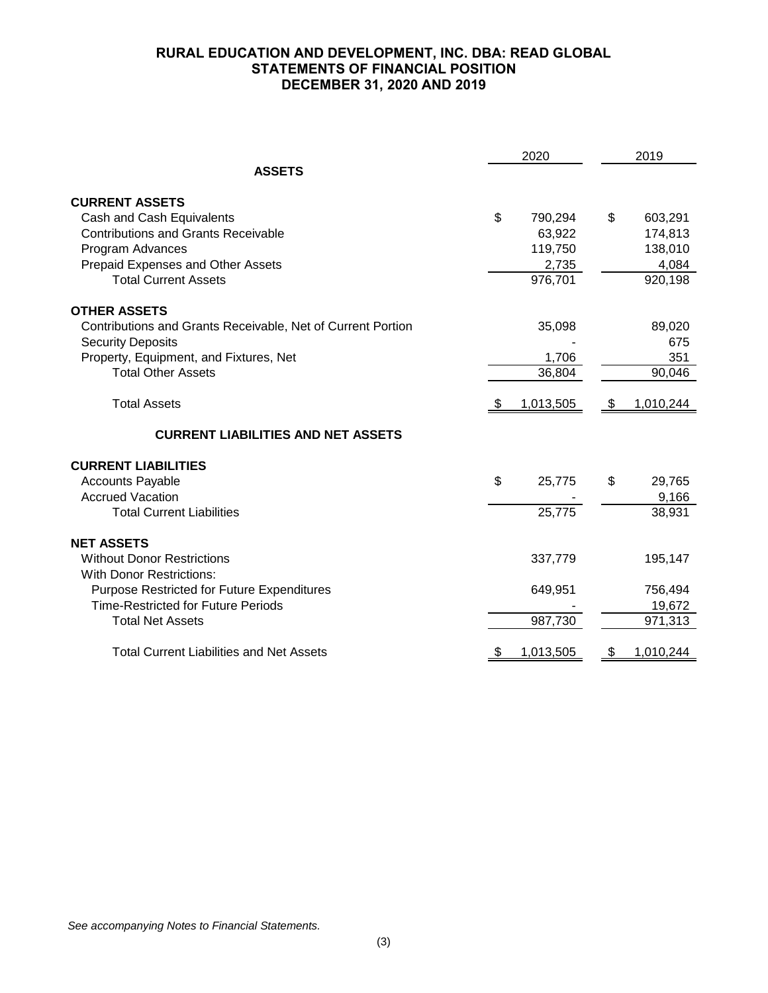# **RURAL EDUCATION AND DEVELOPMENT, INC. DBA: READ GLOBAL STATEMENTS OF FINANCIAL POSITION DECEMBER 31, 2020 AND 2019**

|                                                             | 2020 |           |    | 2019      |
|-------------------------------------------------------------|------|-----------|----|-----------|
| <b>ASSETS</b>                                               |      |           |    |           |
| <b>CURRENT ASSETS</b>                                       |      |           |    |           |
| Cash and Cash Equivalents                                   | \$   | 790,294   | \$ | 603,291   |
| <b>Contributions and Grants Receivable</b>                  |      | 63,922    |    | 174,813   |
| Program Advances                                            |      | 119,750   |    | 138,010   |
| Prepaid Expenses and Other Assets                           |      | 2,735     |    | 4,084     |
| <b>Total Current Assets</b>                                 |      | 976,701   |    | 920,198   |
| <b>OTHER ASSETS</b>                                         |      |           |    |           |
| Contributions and Grants Receivable, Net of Current Portion |      | 35,098    |    | 89,020    |
| <b>Security Deposits</b>                                    |      |           |    | 675       |
| Property, Equipment, and Fixtures, Net                      |      | 1,706     |    | 351       |
| <b>Total Other Assets</b>                                   |      | 36,804    |    | 90,046    |
| <b>Total Assets</b>                                         |      | 1,013,505 | æ. | 1,010,244 |
| <b>CURRENT LIABILITIES AND NET ASSETS</b>                   |      |           |    |           |
| <b>CURRENT LIABILITIES</b>                                  |      |           |    |           |
| <b>Accounts Payable</b>                                     | \$   | 25,775    | \$ | 29,765    |
| <b>Accrued Vacation</b>                                     |      |           |    | 9,166     |
| <b>Total Current Liabilities</b>                            |      | 25,775    |    | 38,931    |
| <b>NET ASSETS</b>                                           |      |           |    |           |
| <b>Without Donor Restrictions</b>                           |      | 337,779   |    | 195,147   |
| <b>With Donor Restrictions:</b>                             |      |           |    |           |
| Purpose Restricted for Future Expenditures                  |      | 649,951   |    | 756,494   |
| <b>Time-Restricted for Future Periods</b>                   |      |           |    | 19,672    |
| <b>Total Net Assets</b>                                     |      | 987,730   |    | 971,313   |
| <b>Total Current Liabilities and Net Assets</b>             | - \$ | 1,013,505 | \$ | 1,010,244 |

*See accompanying Notes to Financial Statements.*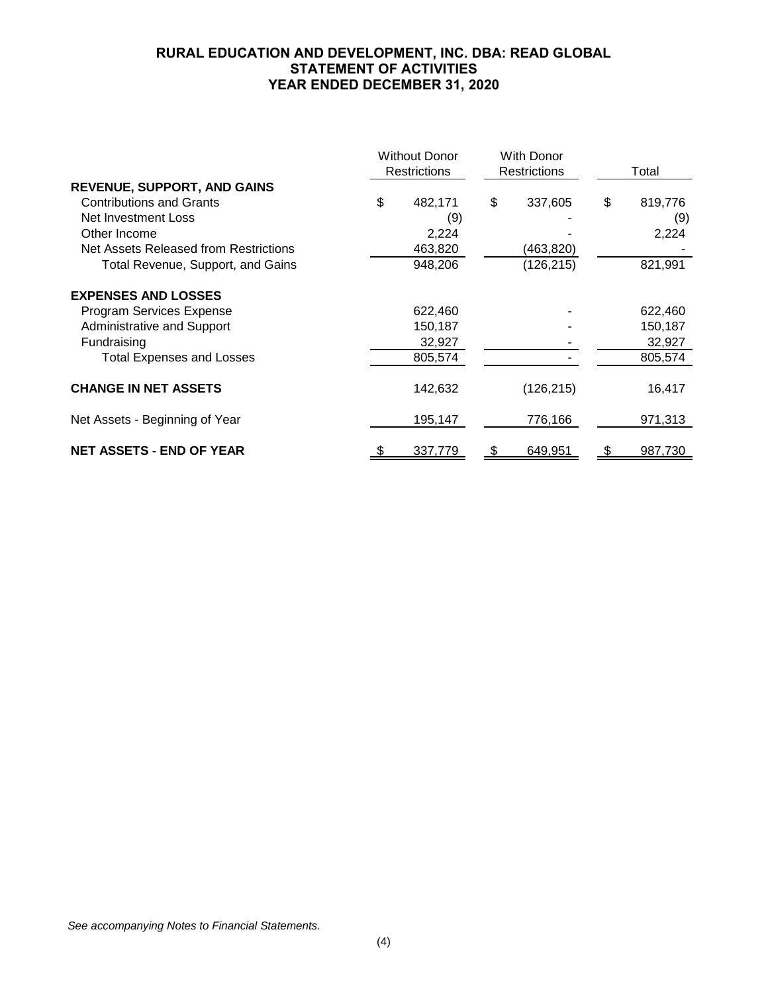# **RURAL EDUCATION AND DEVELOPMENT, INC. DBA: READ GLOBAL STATEMENT OF ACTIVITIES YEAR ENDED DECEMBER 31, 2020**

|                                       | <b>Without Donor</b><br>Restrictions |         | <b>With Donor</b><br>Restrictions |    | Total   |
|---------------------------------------|--------------------------------------|---------|-----------------------------------|----|---------|
| <b>REVENUE, SUPPORT, AND GAINS</b>    |                                      |         |                                   |    |         |
| <b>Contributions and Grants</b>       | \$                                   | 482,171 | \$<br>337,605                     | \$ | 819,776 |
| Net Investment Loss                   |                                      | (9)     |                                   |    | (9)     |
| Other Income                          |                                      | 2,224   |                                   |    | 2,224   |
| Net Assets Released from Restrictions |                                      | 463,820 | (463,820)                         |    |         |
| Total Revenue, Support, and Gains     |                                      | 948,206 | (126,215)                         |    | 821,991 |
| <b>EXPENSES AND LOSSES</b>            |                                      |         |                                   |    |         |
| Program Services Expense              |                                      | 622,460 |                                   |    | 622,460 |
| <b>Administrative and Support</b>     |                                      | 150,187 |                                   |    | 150,187 |
| Fundraising                           |                                      | 32,927  |                                   |    | 32,927  |
| <b>Total Expenses and Losses</b>      |                                      | 805,574 |                                   |    | 805.574 |
| <b>CHANGE IN NET ASSETS</b>           |                                      | 142,632 | (126, 215)                        |    | 16,417  |
| Net Assets - Beginning of Year        |                                      | 195,147 | 776,166                           |    | 971,313 |
| <b>NET ASSETS - END OF YEAR</b>       |                                      | 337,779 | 649,951                           |    | 987,730 |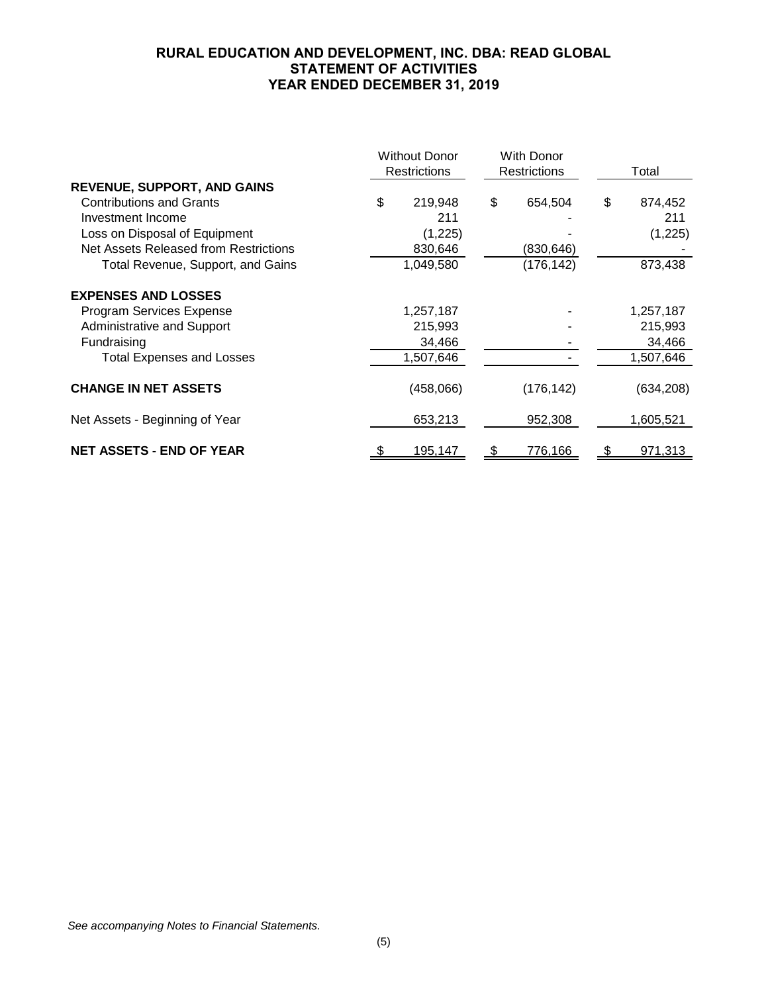# **RURAL EDUCATION AND DEVELOPMENT, INC. DBA: READ GLOBAL STATEMENT OF ACTIVITIES YEAR ENDED DECEMBER 31, 2019**

|                                       | <b>Without Donor</b><br><b>Restrictions</b> |    | <b>With Donor</b><br><b>Restrictions</b> |    | Total      |
|---------------------------------------|---------------------------------------------|----|------------------------------------------|----|------------|
| <b>REVENUE, SUPPORT, AND GAINS</b>    |                                             |    |                                          |    |            |
| <b>Contributions and Grants</b>       | \$<br>219,948                               | \$ | 654,504                                  | \$ | 874,452    |
| Investment Income                     | 211                                         |    |                                          |    | 211        |
| Loss on Disposal of Equipment         | (1,225)                                     |    |                                          |    | (1,225)    |
| Net Assets Released from Restrictions | 830,646                                     |    | (830,646)                                |    |            |
| Total Revenue, Support, and Gains     | 1,049,580                                   |    | (176, 142)                               |    | 873,438    |
| <b>EXPENSES AND LOSSES</b>            |                                             |    |                                          |    |            |
| Program Services Expense              | 1,257,187                                   |    |                                          |    | 1,257,187  |
| <b>Administrative and Support</b>     | 215,993                                     |    |                                          |    | 215,993    |
| Fundraising                           | 34,466                                      |    |                                          |    | 34,466     |
| <b>Total Expenses and Losses</b>      | 1,507,646                                   |    |                                          |    | 1,507,646  |
| <b>CHANGE IN NET ASSETS</b>           | (458,066)                                   |    | (176, 142)                               |    | (634, 208) |
| Net Assets - Beginning of Year        | 653,213                                     |    | 952,308                                  |    | 1,605,521  |
| <b>NET ASSETS - END OF YEAR</b>       | 195,147                                     |    | 776,166                                  |    | 971,313    |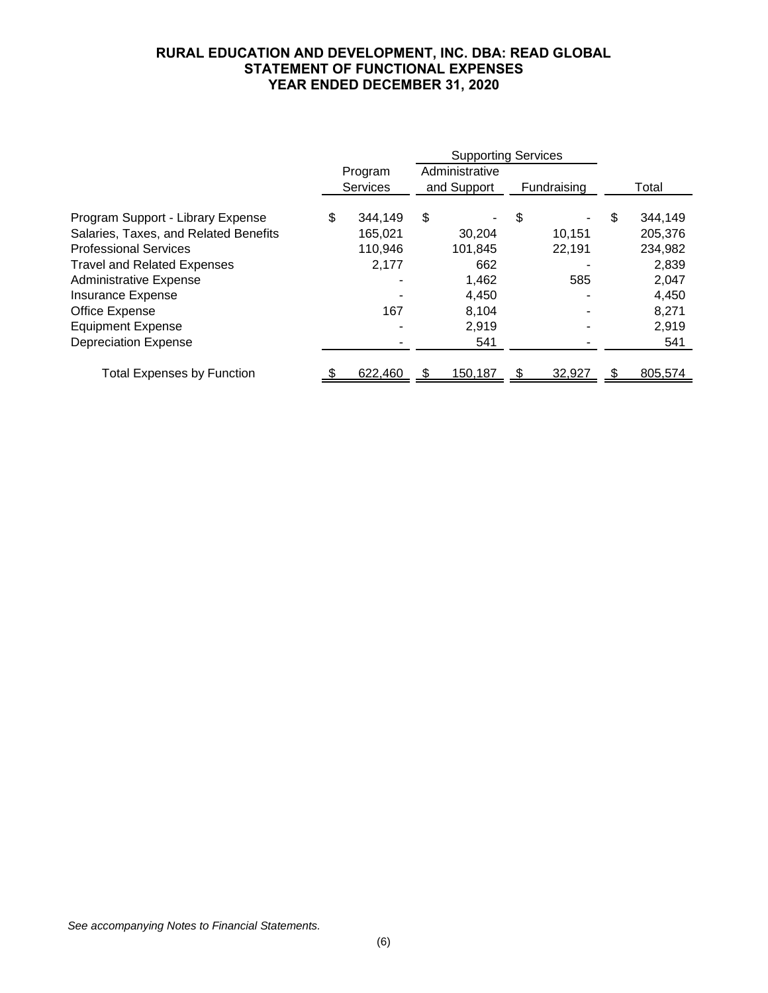# **RURAL EDUCATION AND DEVELOPMENT, INC. DBA: READ GLOBAL STATEMENT OF FUNCTIONAL EXPENSES YEAR ENDED DECEMBER 31, 2020**

|                                       | <b>Supporting Services</b> |                 |    |                |    |             |   |         |
|---------------------------------------|----------------------------|-----------------|----|----------------|----|-------------|---|---------|
|                                       |                            | Program         |    | Administrative |    |             |   |         |
|                                       |                            | <b>Services</b> |    | and Support    |    | Fundraising |   | Total   |
| Program Support - Library Expense     | \$                         | 344.149         | \$ |                | \$ |             | S | 344,149 |
| Salaries, Taxes, and Related Benefits |                            | 165,021         |    | 30,204         |    | 10,151      |   | 205,376 |
| <b>Professional Services</b>          |                            | 110,946         |    | 101,845        |    | 22,191      |   | 234,982 |
| <b>Travel and Related Expenses</b>    |                            | 2,177           |    | 662            |    |             |   | 2,839   |
| <b>Administrative Expense</b>         |                            |                 |    | 1,462          |    | 585         |   | 2,047   |
| Insurance Expense                     |                            |                 |    | 4.450          |    |             |   | 4,450   |
| Office Expense                        |                            | 167             |    | 8,104          |    |             |   | 8,271   |
| <b>Equipment Expense</b>              |                            |                 |    | 2,919          |    |             |   | 2,919   |
| <b>Depreciation Expense</b>           |                            |                 |    | 541            |    |             |   | 541     |
| <b>Total Expenses by Function</b>     |                            | 622,460         |    | 150,187        |    | 32,927      |   | 805,574 |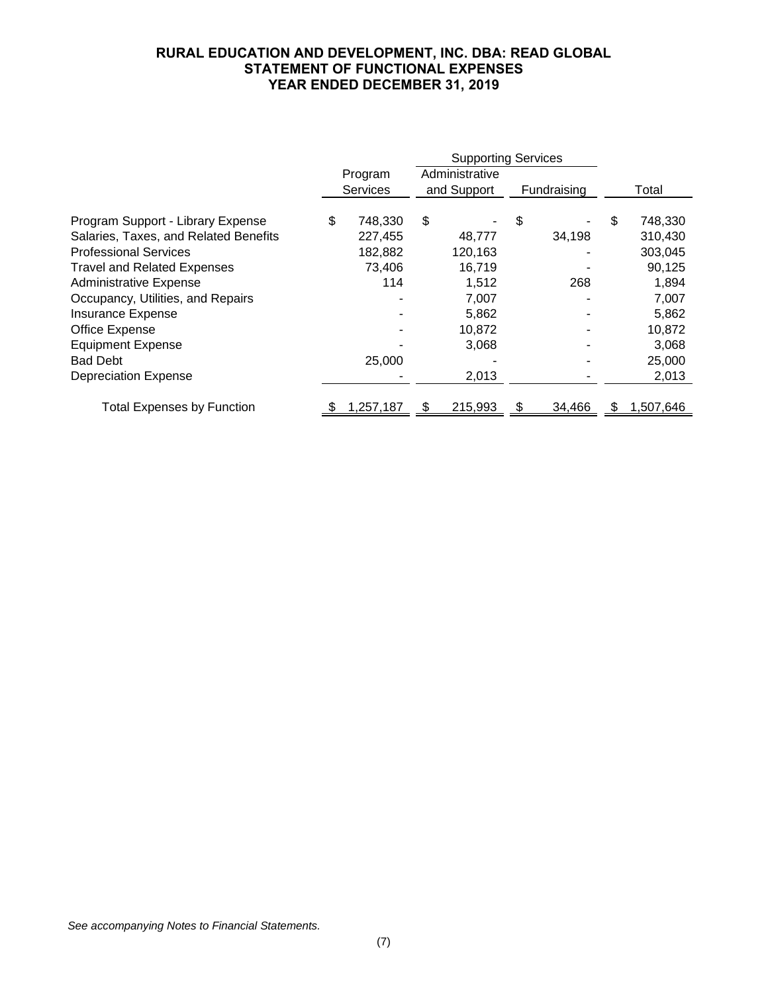## **RURAL EDUCATION AND DEVELOPMENT, INC. DBA: READ GLOBAL STATEMENT OF FUNCTIONAL EXPENSES YEAR ENDED DECEMBER 31, 2019**

|                                       | <b>Supporting Services</b> |                 |    |                |             |   |           |
|---------------------------------------|----------------------------|-----------------|----|----------------|-------------|---|-----------|
|                                       |                            | Program         |    | Administrative |             |   |           |
|                                       |                            | <b>Services</b> |    | and Support    | Fundraising |   | Total     |
| Program Support - Library Expense     | \$                         | 748,330         | \$ |                | \$          | S | 748,330   |
| Salaries, Taxes, and Related Benefits |                            | 227,455         |    | 48,777         | 34,198      |   | 310,430   |
| <b>Professional Services</b>          |                            | 182,882         |    | 120,163        |             |   | 303,045   |
| <b>Travel and Related Expenses</b>    |                            | 73,406          |    | 16,719         |             |   | 90,125    |
| <b>Administrative Expense</b>         |                            | 114             |    | 1,512          | 268         |   | 1,894     |
| Occupancy, Utilities, and Repairs     |                            |                 |    | 7,007          |             |   | 7,007     |
| Insurance Expense                     |                            |                 |    | 5,862          |             |   | 5,862     |
| Office Expense                        |                            |                 |    | 10,872         |             |   | 10,872    |
| <b>Equipment Expense</b>              |                            |                 |    | 3,068          |             |   | 3,068     |
| <b>Bad Debt</b>                       |                            | 25,000          |    |                |             |   | 25,000    |
| <b>Depreciation Expense</b>           |                            |                 |    | 2,013          |             |   | 2,013     |
| <b>Total Expenses by Function</b>     |                            | ,257,187        |    | 215,993        | 34,466      |   | 1,507,646 |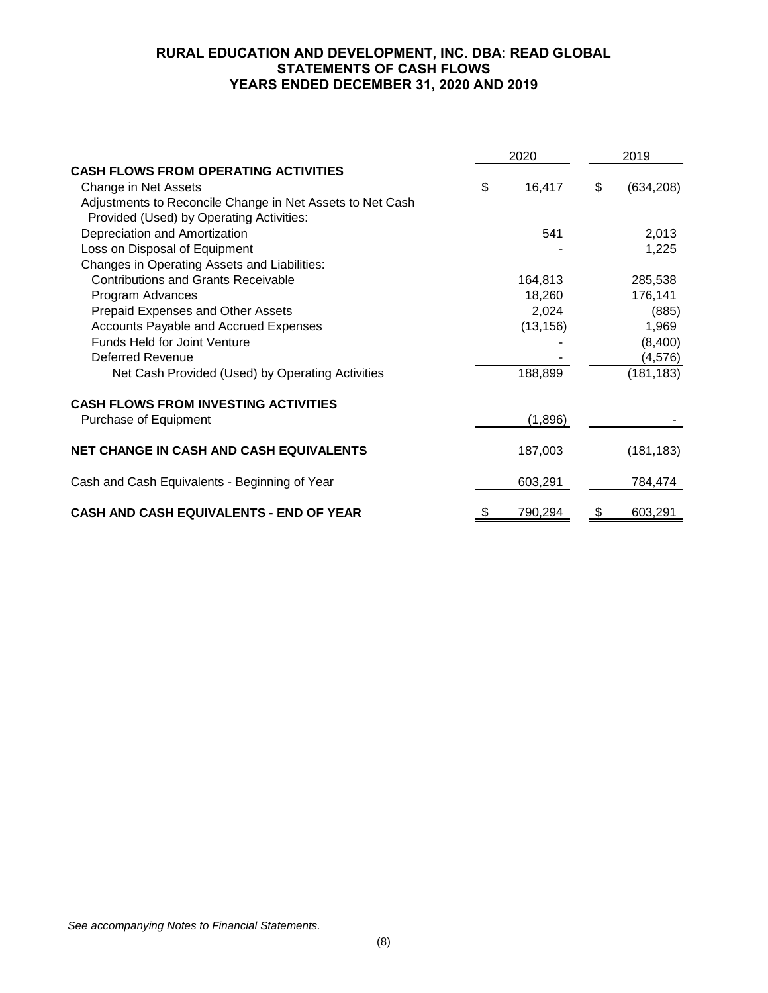## **RURAL EDUCATION AND DEVELOPMENT, INC. DBA: READ GLOBAL STATEMENTS OF CASH FLOWS YEARS ENDED DECEMBER 31, 2020 AND 2019**

|                                                           | 2020          | 2019             |
|-----------------------------------------------------------|---------------|------------------|
| <b>CASH FLOWS FROM OPERATING ACTIVITIES</b>               |               |                  |
| Change in Net Assets                                      | \$<br>16,417  | \$<br>(634, 208) |
| Adjustments to Reconcile Change in Net Assets to Net Cash |               |                  |
| Provided (Used) by Operating Activities:                  |               |                  |
| Depreciation and Amortization                             | 541           | 2,013            |
| Loss on Disposal of Equipment                             |               | 1,225            |
| Changes in Operating Assets and Liabilities:              |               |                  |
| <b>Contributions and Grants Receivable</b>                | 164,813       | 285,538          |
| Program Advances                                          | 18,260        | 176,141          |
| Prepaid Expenses and Other Assets                         | 2,024         | (885)            |
| Accounts Payable and Accrued Expenses                     | (13, 156)     | 1,969            |
| Funds Held for Joint Venture                              |               | (8,400)          |
| <b>Deferred Revenue</b>                                   |               | (4, 576)         |
| Net Cash Provided (Used) by Operating Activities          | 188,899       | (181, 183)       |
| <b>CASH FLOWS FROM INVESTING ACTIVITIES</b>               |               |                  |
| Purchase of Equipment                                     | (1,896)       |                  |
| <b>NET CHANGE IN CASH AND CASH EQUIVALENTS</b>            | 187,003       | (181, 183)       |
| Cash and Cash Equivalents - Beginning of Year             | 603,291       | 784,474          |
| <b>CASH AND CASH EQUIVALENTS - END OF YEAR</b>            | \$<br>790,294 | \$<br>603,291    |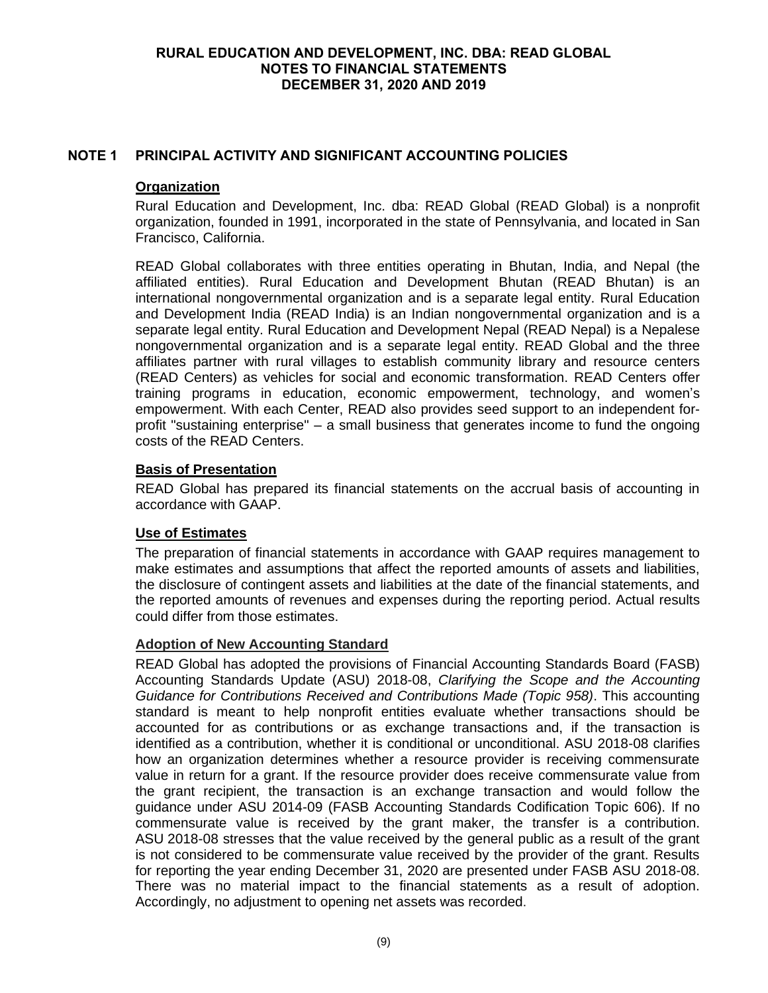#### **NOTE 1 PRINCIPAL ACTIVITY AND SIGNIFICANT ACCOUNTING POLICIES**

#### **Organization**

Rural Education and Development, Inc. dba: READ Global (READ Global) is a nonprofit organization, founded in 1991, incorporated in the state of Pennsylvania, and located in San Francisco, California.

READ Global collaborates with three entities operating in Bhutan, India, and Nepal (the affiliated entities). Rural Education and Development Bhutan (READ Bhutan) is an international nongovernmental organization and is a separate legal entity. Rural Education and Development India (READ India) is an Indian nongovernmental organization and is a separate legal entity. Rural Education and Development Nepal (READ Nepal) is a Nepalese nongovernmental organization and is a separate legal entity. READ Global and the three affiliates partner with rural villages to establish community library and resource centers (READ Centers) as vehicles for social and economic transformation. READ Centers offer training programs in education, economic empowerment, technology, and women's empowerment. With each Center, READ also provides seed support to an independent forprofit "sustaining enterprise" – a small business that generates income to fund the ongoing costs of the READ Centers.

## **Basis of Presentation**

READ Global has prepared its financial statements on the accrual basis of accounting in accordance with GAAP.

#### **Use of Estimates**

The preparation of financial statements in accordance with GAAP requires management to make estimates and assumptions that affect the reported amounts of assets and liabilities, the disclosure of contingent assets and liabilities at the date of the financial statements, and the reported amounts of revenues and expenses during the reporting period. Actual results could differ from those estimates.

#### **Adoption of New Accounting Standard**

READ Global has adopted the provisions of Financial Accounting Standards Board (FASB) Accounting Standards Update (ASU) 2018-08, *Clarifying the Scope and the Accounting Guidance for Contributions Received and Contributions Made (Topic 958)*. This accounting standard is meant to help nonprofit entities evaluate whether transactions should be accounted for as contributions or as exchange transactions and, if the transaction is identified as a contribution, whether it is conditional or unconditional. ASU 2018-08 clarifies how an organization determines whether a resource provider is receiving commensurate value in return for a grant. If the resource provider does receive commensurate value from the grant recipient, the transaction is an exchange transaction and would follow the guidance under ASU 2014-09 (FASB Accounting Standards Codification Topic 606). If no commensurate value is received by the grant maker, the transfer is a contribution. ASU 2018-08 stresses that the value received by the general public as a result of the grant is not considered to be commensurate value received by the provider of the grant. Results for reporting the year ending December 31, 2020 are presented under FASB ASU 2018-08. There was no material impact to the financial statements as a result of adoption. Accordingly, no adjustment to opening net assets was recorded.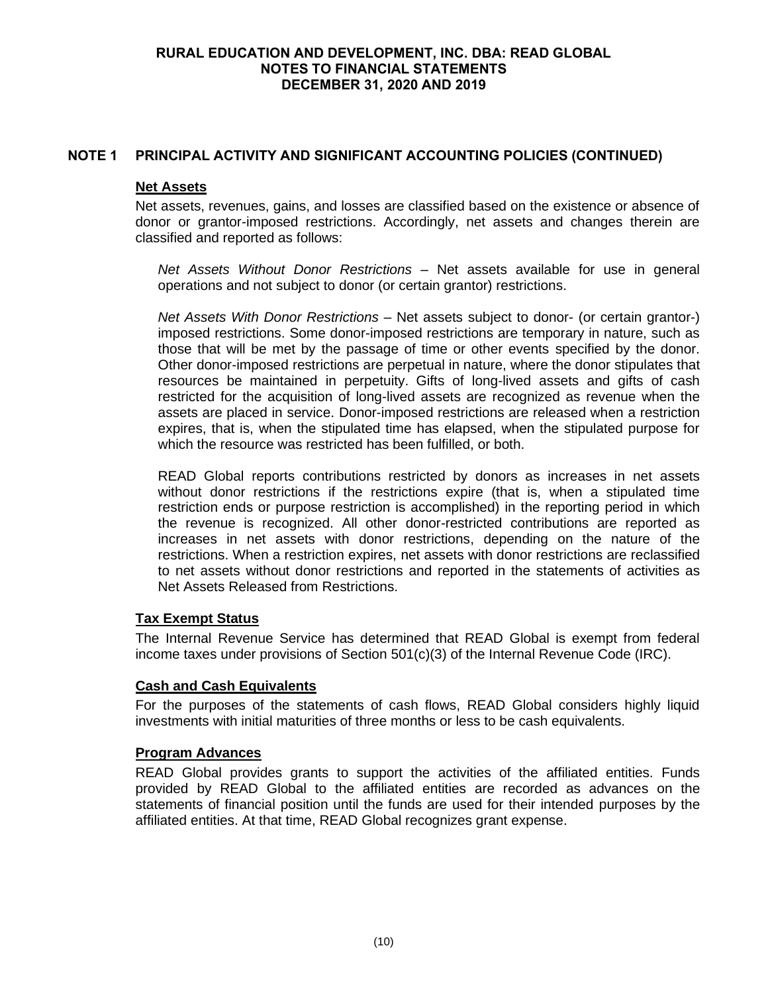## **NOTE 1 PRINCIPAL ACTIVITY AND SIGNIFICANT ACCOUNTING POLICIES (CONTINUED)**

#### **Net Assets**

Net assets, revenues, gains, and losses are classified based on the existence or absence of donor or grantor-imposed restrictions. Accordingly, net assets and changes therein are classified and reported as follows:

*Net Assets Without Donor Restrictions* – Net assets available for use in general operations and not subject to donor (or certain grantor) restrictions.

*Net Assets With Donor Restrictions* – Net assets subject to donor- (or certain grantor-) imposed restrictions. Some donor-imposed restrictions are temporary in nature, such as those that will be met by the passage of time or other events specified by the donor. Other donor-imposed restrictions are perpetual in nature, where the donor stipulates that resources be maintained in perpetuity. Gifts of long-lived assets and gifts of cash restricted for the acquisition of long-lived assets are recognized as revenue when the assets are placed in service. Donor-imposed restrictions are released when a restriction expires, that is, when the stipulated time has elapsed, when the stipulated purpose for which the resource was restricted has been fulfilled, or both.

READ Global reports contributions restricted by donors as increases in net assets without donor restrictions if the restrictions expire (that is, when a stipulated time restriction ends or purpose restriction is accomplished) in the reporting period in which the revenue is recognized. All other donor-restricted contributions are reported as increases in net assets with donor restrictions, depending on the nature of the restrictions. When a restriction expires, net assets with donor restrictions are reclassified to net assets without donor restrictions and reported in the statements of activities as Net Assets Released from Restrictions.

## **Tax Exempt Status**

The Internal Revenue Service has determined that READ Global is exempt from federal income taxes under provisions of Section 501(c)(3) of the Internal Revenue Code (IRC).

## **Cash and Cash Equivalents**

For the purposes of the statements of cash flows, READ Global considers highly liquid investments with initial maturities of three months or less to be cash equivalents.

#### **Program Advances**

READ Global provides grants to support the activities of the affiliated entities. Funds provided by READ Global to the affiliated entities are recorded as advances on the statements of financial position until the funds are used for their intended purposes by the affiliated entities. At that time, READ Global recognizes grant expense.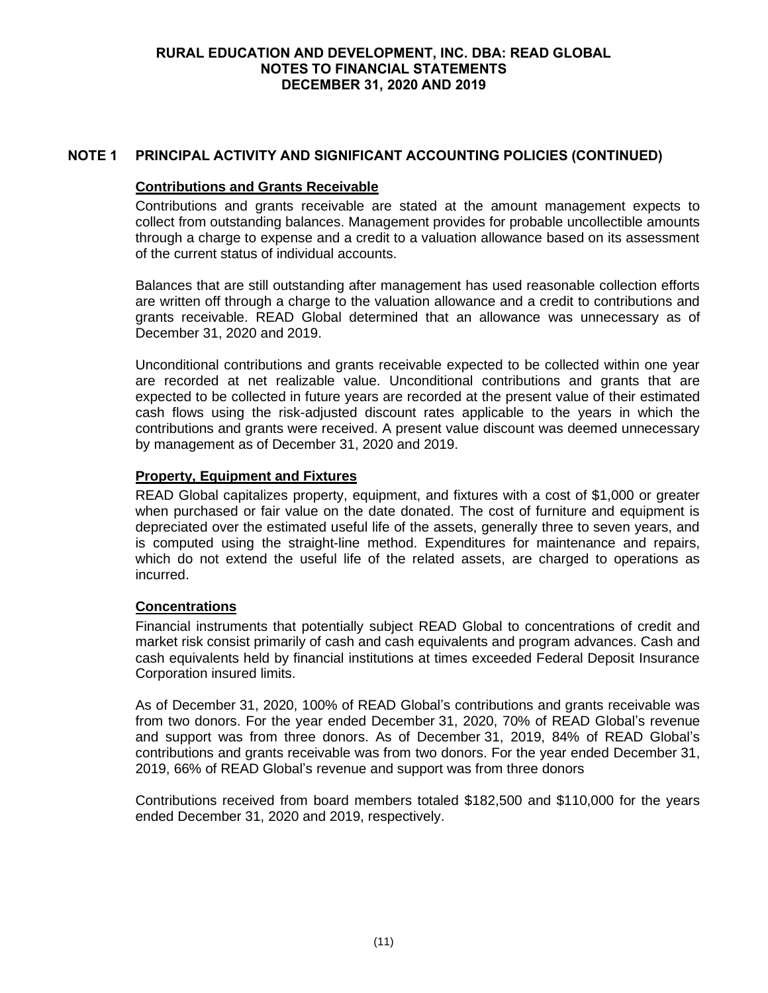## **NOTE 1 PRINCIPAL ACTIVITY AND SIGNIFICANT ACCOUNTING POLICIES (CONTINUED)**

#### **Contributions and Grants Receivable**

Contributions and grants receivable are stated at the amount management expects to collect from outstanding balances. Management provides for probable uncollectible amounts through a charge to expense and a credit to a valuation allowance based on its assessment of the current status of individual accounts.

Balances that are still outstanding after management has used reasonable collection efforts are written off through a charge to the valuation allowance and a credit to contributions and grants receivable. READ Global determined that an allowance was unnecessary as of December 31, 2020 and 2019.

Unconditional contributions and grants receivable expected to be collected within one year are recorded at net realizable value. Unconditional contributions and grants that are expected to be collected in future years are recorded at the present value of their estimated cash flows using the risk-adjusted discount rates applicable to the years in which the contributions and grants were received. A present value discount was deemed unnecessary by management as of December 31, 2020 and 2019.

## **Property, Equipment and Fixtures**

READ Global capitalizes property, equipment, and fixtures with a cost of \$1,000 or greater when purchased or fair value on the date donated. The cost of furniture and equipment is depreciated over the estimated useful life of the assets, generally three to seven years, and is computed using the straight-line method. Expenditures for maintenance and repairs, which do not extend the useful life of the related assets, are charged to operations as incurred.

## **Concentrations**

Financial instruments that potentially subject READ Global to concentrations of credit and market risk consist primarily of cash and cash equivalents and program advances. Cash and cash equivalents held by financial institutions at times exceeded Federal Deposit Insurance Corporation insured limits.

As of December 31, 2020, 100% of READ Global's contributions and grants receivable was from two donors. For the year ended December 31, 2020, 70% of READ Global's revenue and support was from three donors. As of December 31, 2019, 84% of READ Global's contributions and grants receivable was from two donors. For the year ended December 31, 2019, 66% of READ Global's revenue and support was from three donors

Contributions received from board members totaled \$182,500 and \$110,000 for the years ended December 31, 2020 and 2019, respectively.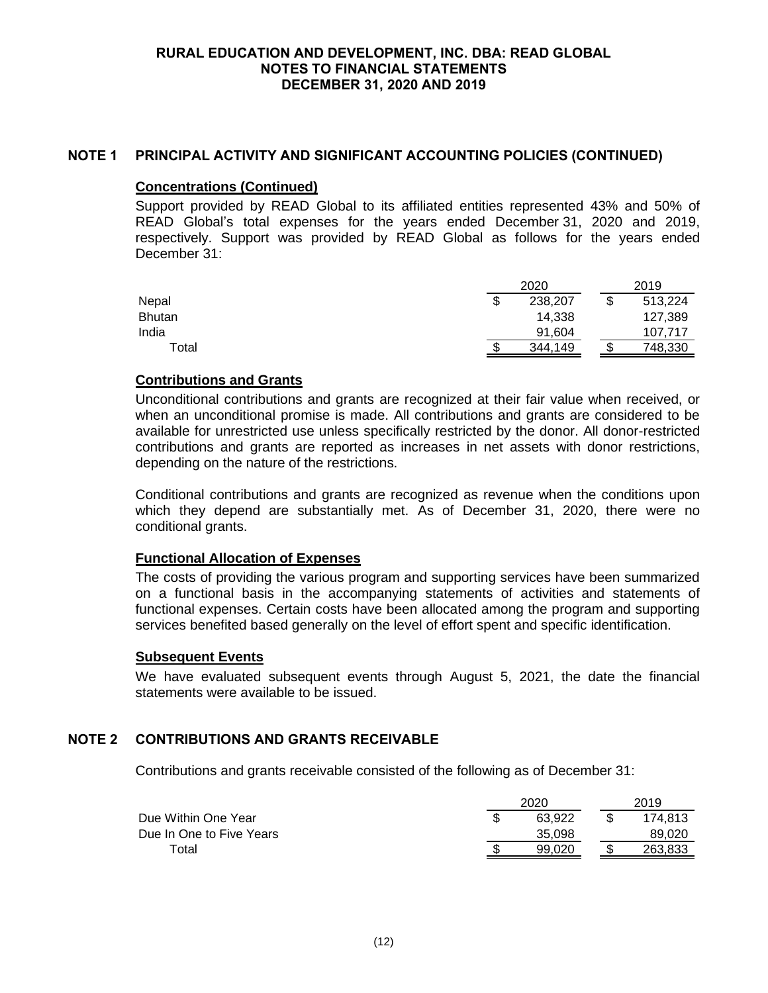#### **NOTE 1 PRINCIPAL ACTIVITY AND SIGNIFICANT ACCOUNTING POLICIES (CONTINUED)**

#### **Concentrations (Continued)**

Support provided by READ Global to its affiliated entities represented 43% and 50% of READ Global's total expenses for the years ended December 31, 2020 and 2019, respectively. Support was provided by READ Global as follows for the years ended December 31:

|        |    | 2020    |    |         |
|--------|----|---------|----|---------|
| Nepal  | \$ | 238,207 | \$ | 513,224 |
| Bhutan |    | 14,338  |    | 127,389 |
| India  |    | 91,604  |    | 107.717 |
| Total  | ጥ  | 344,149 |    | 748,330 |

#### **Contributions and Grants**

Unconditional contributions and grants are recognized at their fair value when received, or when an unconditional promise is made. All contributions and grants are considered to be available for unrestricted use unless specifically restricted by the donor. All donor-restricted contributions and grants are reported as increases in net assets with donor restrictions, depending on the nature of the restrictions.

Conditional contributions and grants are recognized as revenue when the conditions upon which they depend are substantially met. As of December 31, 2020, there were no conditional grants.

## **Functional Allocation of Expenses**

The costs of providing the various program and supporting services have been summarized on a functional basis in the accompanying statements of activities and statements of functional expenses. Certain costs have been allocated among the program and supporting services benefited based generally on the level of effort spent and specific identification.

#### **Subsequent Events**

We have evaluated subsequent events through August 5, 2021, the date the financial statements were available to be issued.

## **NOTE 2 CONTRIBUTIONS AND GRANTS RECEIVABLE**

Contributions and grants receivable consisted of the following as of December 31:

|                          | 2020   | 2019    |  |
|--------------------------|--------|---------|--|
| Due Within One Year      | 63.922 | 174.813 |  |
| Due In One to Five Years | 35.098 | 89.020  |  |
| ⊤otal                    | 99.020 | 263,833 |  |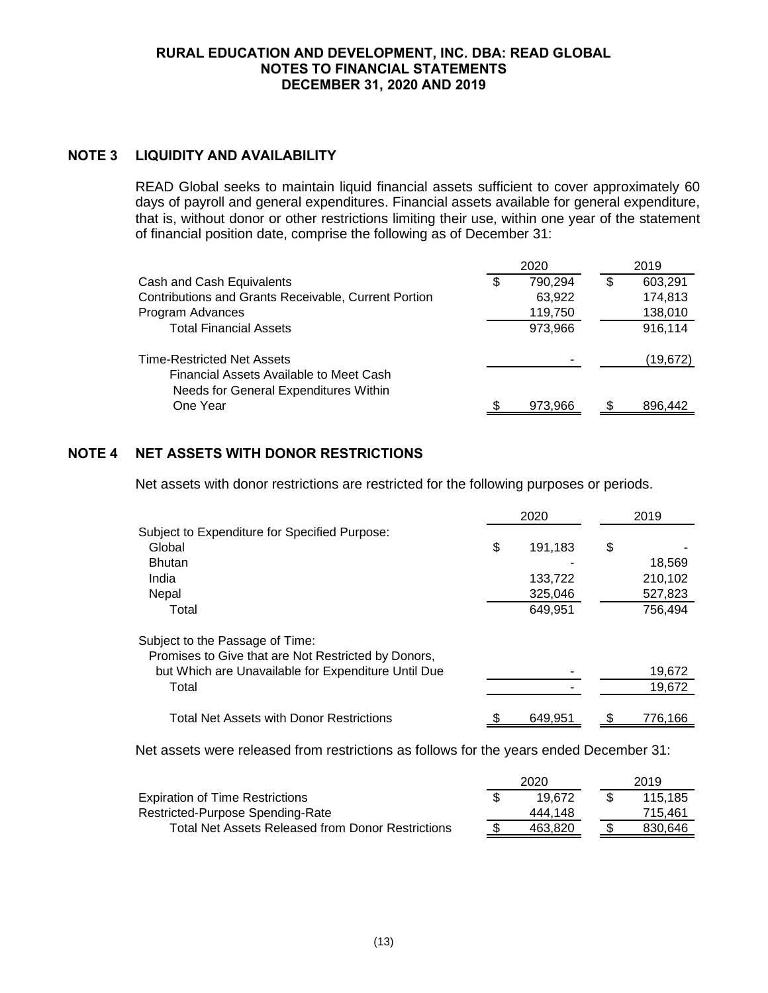## **NOTE 3 LIQUIDITY AND AVAILABILITY**

READ Global seeks to maintain liquid financial assets sufficient to cover approximately 60 days of payroll and general expenditures. Financial assets available for general expenditure, that is, without donor or other restrictions limiting their use, within one year of the statement of financial position date, comprise the following as of December 31:

|                                                             | 2020          |   | 2019      |
|-------------------------------------------------------------|---------------|---|-----------|
| Cash and Cash Equivalents                                   | \$<br>790,294 | S | 603,291   |
| <b>Contributions and Grants Receivable, Current Portion</b> | 63,922        |   | 174,813   |
| Program Advances                                            | 119,750       |   | 138,010   |
| <b>Total Financial Assets</b>                               | 973,966       |   | 916,114   |
| <b>Time-Restricted Net Assets</b>                           |               |   | (19, 672) |
| Financial Assets Available to Meet Cash                     |               |   |           |
| Needs for General Expenditures Within                       |               |   |           |
| One Year                                                    | 973,966       |   | 896,442   |

# **NOTE 4 NET ASSETS WITH DONOR RESTRICTIONS**

Net assets with donor restrictions are restricted for the following purposes or periods.

|                                                     | 2020          | 2019    |
|-----------------------------------------------------|---------------|---------|
| Subject to Expenditure for Specified Purpose:       |               |         |
| Global                                              | \$<br>191.183 | \$      |
| <b>Bhutan</b>                                       |               | 18,569  |
| India                                               | 133.722       | 210.102 |
| <b>Nepal</b>                                        | 325.046       | 527,823 |
| Total                                               | 649,951       | 756,494 |
| Subject to the Passage of Time:                     |               |         |
| Promises to Give that are Not Restricted by Donors, |               |         |
| but Which are Unavailable for Expenditure Until Due |               | 19,672  |
| Total                                               |               | 19,672  |
|                                                     |               |         |
| Total Net Assets with Donor Restrictions            | 649,951       | 776,166 |

Net assets were released from restrictions as follows for the years ended December 31:

|                                                   | 2020    | 2019    |
|---------------------------------------------------|---------|---------|
| <b>Expiration of Time Restrictions</b>            | 19.672  | 115.185 |
| Restricted-Purpose Spending-Rate                  | 444.148 | 715.461 |
| Total Net Assets Released from Donor Restrictions | 463.820 | 830.646 |
|                                                   |         |         |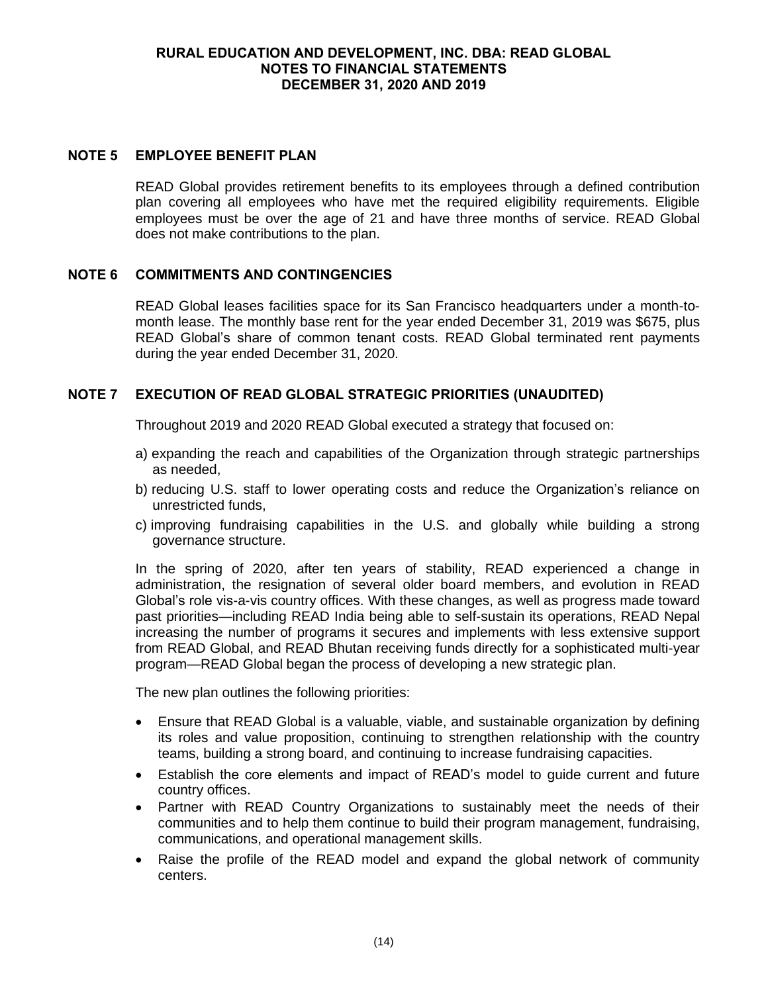#### **NOTE 5 EMPLOYEE BENEFIT PLAN**

READ Global provides retirement benefits to its employees through a defined contribution plan covering all employees who have met the required eligibility requirements. Eligible employees must be over the age of 21 and have three months of service. READ Global does not make contributions to the plan.

#### **NOTE 6 COMMITMENTS AND CONTINGENCIES**

READ Global leases facilities space for its San Francisco headquarters under a month-tomonth lease. The monthly base rent for the year ended December 31, 2019 was \$675, plus READ Global's share of common tenant costs. READ Global terminated rent payments during the year ended December 31, 2020.

## **NOTE 7 EXECUTION OF READ GLOBAL STRATEGIC PRIORITIES (UNAUDITED)**

Throughout 2019 and 2020 READ Global executed a strategy that focused on:

- a) expanding the reach and capabilities of the Organization through strategic partnerships as needed,
- b) reducing U.S. staff to lower operating costs and reduce the Organization's reliance on unrestricted funds,
- c) improving fundraising capabilities in the U.S. and globally while building a strong governance structure.

In the spring of 2020, after ten years of stability, READ experienced a change in administration, the resignation of several older board members, and evolution in READ Global's role vis-a-vis country offices. With these changes, as well as progress made toward past priorities—including READ India being able to self-sustain its operations, READ Nepal increasing the number of programs it secures and implements with less extensive support from READ Global, and READ Bhutan receiving funds directly for a sophisticated multi-year program—READ Global began the process of developing a new strategic plan.

The new plan outlines the following priorities:

- Ensure that READ Global is a valuable, viable, and sustainable organization by defining its roles and value proposition, continuing to strengthen relationship with the country teams, building a strong board, and continuing to increase fundraising capacities.
- Establish the core elements and impact of READ's model to guide current and future country offices.
- Partner with READ Country Organizations to sustainably meet the needs of their communities and to help them continue to build their program management, fundraising, communications, and operational management skills.
- Raise the profile of the READ model and expand the global network of community centers.